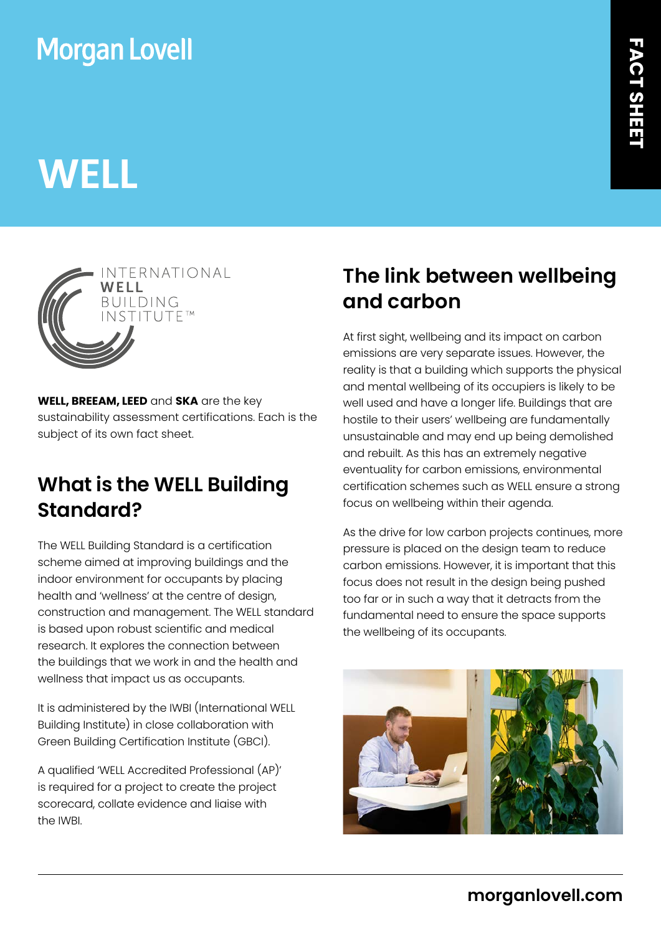## **Morgan Lovell**

# **WELL**



**WELL, BREEAM, LEED** and **SKA** are the key sustainability assessment certifications. Each is the subject of its own fact sheet.

### **What is the WELL Building Standard?**

The WELL Building Standard is a certification scheme aimed at improving buildings and the indoor environment for occupants by placing health and 'wellness' at the centre of design, construction and management. The WELL standard is based upon robust scientific and medical research. It explores the connection between the buildings that we work in and the health and wellness that impact us as occupants.

It is administered by the IWBI (International WELL Building Institute) in close collaboration with Green Building Certification Institute (GBCI).

A qualified 'WELL Accredited Professional (AP)' is required for a project to create the project scorecard, collate evidence and liaise with the IWBI.

### **The link between wellbeing and carbon**

At first sight, wellbeing and its impact on carbon emissions are very separate issues. However, the reality is that a building which supports the physical and mental wellbeing of its occupiers is likely to be well used and have a longer life. Buildings that are hostile to their users' wellbeing are fundamentally unsustainable and may end up being demolished and rebuilt. As this has an extremely negative eventuality for carbon emissions, environmental certification schemes such as WELL ensure a strong focus on wellbeing within their agenda.

As the drive for low carbon projects continues, more pressure is placed on the design team to reduce carbon emissions. However, it is important that this focus does not result in the design being pushed too far or in such a way that it detracts from the fundamental need to ensure the space supports the wellbeing of its occupants.

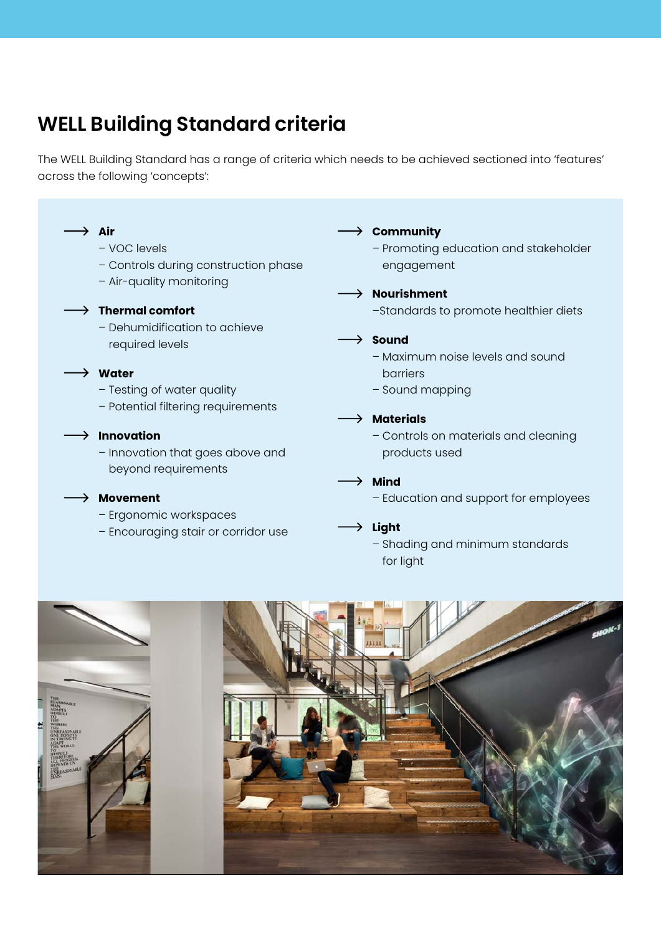#### **WELL Building Standard criteria**

The WELL Building Standard has a range of criteria which needs to be achieved sectioned into 'features' across the following 'concepts':